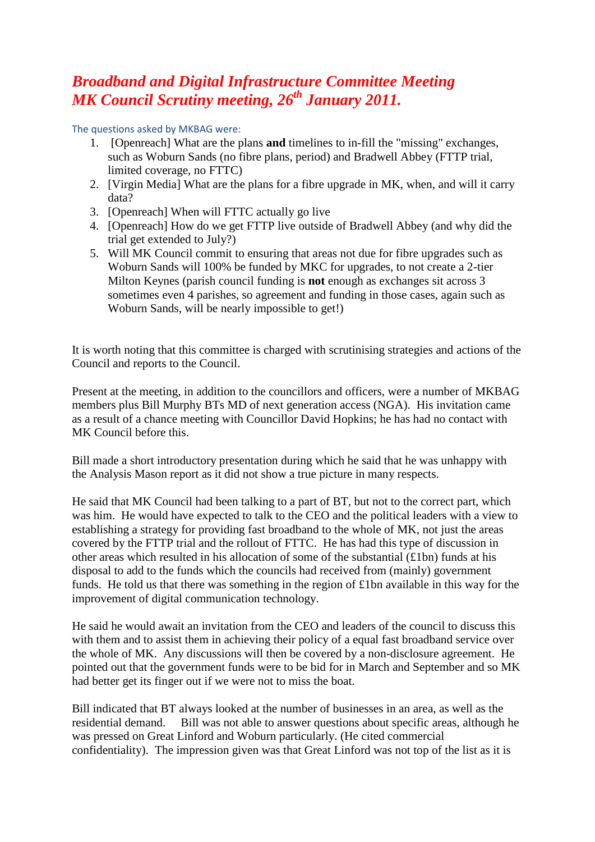## *Broadband and Digital Infrastructure Committee Meeting MK Council Scrutiny meeting, 26th January 2011.*

The questions asked by MKBAG were:

- 1. [Openreach] What are the plans **and** timelines to in-fill the "missing" exchanges, such as Woburn Sands (no fibre plans, period) and Bradwell Abbey (FTTP trial, limited coverage, no FTTC)
- 2. [Virgin Media] What are the plans for a fibre upgrade in MK, when, and will it carry data?
- 3. [Openreach] When will FTTC actually go live
- 4. [Openreach] How do we get FTTP live outside of Bradwell Abbey (and why did the trial get extended to July?)
- 5. Will MK Council commit to ensuring that areas not due for fibre upgrades such as Woburn Sands will 100% be funded by MKC for upgrades, to not create a 2-tier Milton Keynes (parish council funding is **not** enough as exchanges sit across 3 sometimes even 4 parishes, so agreement and funding in those cases, again such as Woburn Sands, will be nearly impossible to get!)

It is worth noting that this committee is charged with scrutinising strategies and actions of the Council and reports to the Council.

Present at the meeting, in addition to the councillors and officers, were a number of MKBAG members plus Bill Murphy BTs MD of next generation access (NGA). His invitation came as a result of a chance meeting with Councillor David Hopkins; he has had no contact with MK Council before this.

Bill made a short introductory presentation during which he said that he was unhappy with the Analysis Mason report as it did not show a true picture in many respects.

He said that MK Council had been talking to a part of BT, but not to the correct part, which was him. He would have expected to talk to the CEO and the political leaders with a view to establishing a strategy for providing fast broadband to the whole of MK, not just the areas covered by the FTTP trial and the rollout of FTTC. He has had this type of discussion in other areas which resulted in his allocation of some of the substantial (£1bn) funds at his disposal to add to the funds which the councils had received from (mainly) government funds. He told us that there was something in the region of £1bn available in this way for the improvement of digital communication technology.

He said he would await an invitation from the CEO and leaders of the council to discuss this with them and to assist them in achieving their policy of a equal fast broadband service over the whole of MK. Any discussions will then be covered by a non-disclosure agreement. He pointed out that the government funds were to be bid for in March and September and so MK had better get its finger out if we were not to miss the boat.

Bill indicated that BT always looked at the number of businesses in an area, as well as the residential demand. Bill was not able to answer questions about specific areas, although he was pressed on Great Linford and Woburn particularly. (He cited commercial confidentiality). The impression given was that Great Linford was not top of the list as it is